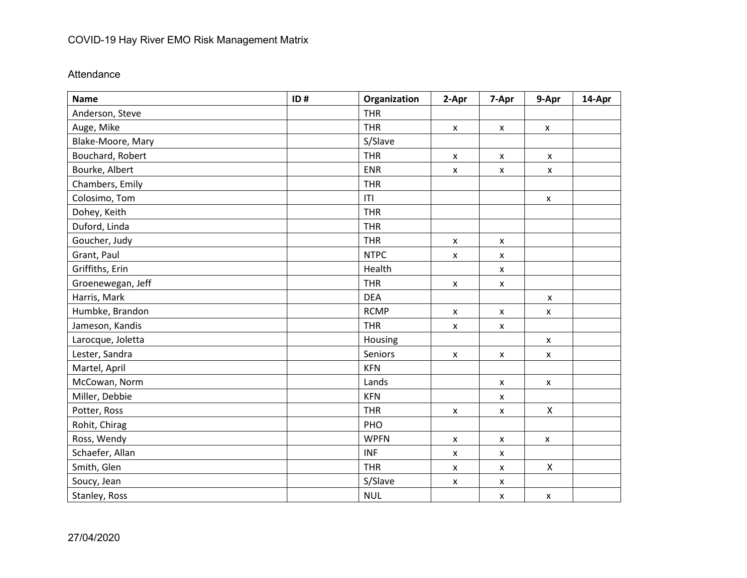## COVID-19 Hay River EMO Risk Management Matrix

## Attendance

| <b>Name</b>       | ID# | Organization | 2-Apr              | 7-Apr                     | 9-Apr              | 14-Apr |
|-------------------|-----|--------------|--------------------|---------------------------|--------------------|--------|
| Anderson, Steve   |     | <b>THR</b>   |                    |                           |                    |        |
| Auge, Mike        |     | <b>THR</b>   | $\pmb{\mathsf{X}}$ | $\pmb{\mathsf{X}}$        | $\pmb{\mathsf{X}}$ |        |
| Blake-Moore, Mary |     | S/Slave      |                    |                           |                    |        |
| Bouchard, Robert  |     | <b>THR</b>   | X                  | $\pmb{\mathsf{x}}$        | X                  |        |
| Bourke, Albert    |     | <b>ENR</b>   | X                  | X                         | X                  |        |
| Chambers, Emily   |     | <b>THR</b>   |                    |                           |                    |        |
| Colosimo, Tom     |     | T            |                    |                           | $\pmb{\mathsf{X}}$ |        |
| Dohey, Keith      |     | <b>THR</b>   |                    |                           |                    |        |
| Duford, Linda     |     | <b>THR</b>   |                    |                           |                    |        |
| Goucher, Judy     |     | <b>THR</b>   | X                  | $\pmb{\mathsf{X}}$        |                    |        |
| Grant, Paul       |     | <b>NTPC</b>  | X                  | X                         |                    |        |
| Griffiths, Erin   |     | Health       |                    | X                         |                    |        |
| Groenewegan, Jeff |     | <b>THR</b>   | $\pmb{\mathsf{x}}$ | $\pmb{\mathsf{x}}$        |                    |        |
| Harris, Mark      |     | <b>DEA</b>   |                    |                           | X                  |        |
| Humbke, Brandon   |     | <b>RCMP</b>  | $\pmb{\mathsf{x}}$ | $\boldsymbol{\mathsf{x}}$ | $\mathsf{x}$       |        |
| Jameson, Kandis   |     | <b>THR</b>   | X                  | $\pmb{\mathsf{x}}$        |                    |        |
| Larocque, Joletta |     | Housing      |                    |                           | X                  |        |
| Lester, Sandra    |     | Seniors      | $\pmb{\mathsf{x}}$ | $\pmb{\mathsf{x}}$        | $\pmb{\mathsf{X}}$ |        |
| Martel, April     |     | <b>KFN</b>   |                    |                           |                    |        |
| McCowan, Norm     |     | Lands        |                    | X                         | $\pmb{\mathsf{X}}$ |        |
| Miller, Debbie    |     | <b>KFN</b>   |                    | $\pmb{\mathsf{x}}$        |                    |        |
| Potter, Ross      |     | <b>THR</b>   | X                  | $\pmb{\mathsf{X}}$        | X                  |        |
| Rohit, Chirag     |     | PHO          |                    |                           |                    |        |
| Ross, Wendy       |     | <b>WPFN</b>  | X                  | $\pmb{\mathsf{x}}$        | $\pmb{\mathsf{x}}$ |        |
| Schaefer, Allan   |     | <b>INF</b>   | $\pmb{\mathsf{x}}$ | X                         |                    |        |
| Smith, Glen       |     | <b>THR</b>   | $\pmb{\mathsf{x}}$ | $\pmb{\mathsf{x}}$        | X                  |        |
| Soucy, Jean       |     | S/Slave      | $\pmb{\mathsf{x}}$ | $\pmb{\mathsf{x}}$        |                    |        |
| Stanley, Ross     |     | <b>NUL</b>   |                    | $\pmb{\mathsf{X}}$        | $\pmb{\mathsf{x}}$ |        |

27/04/2020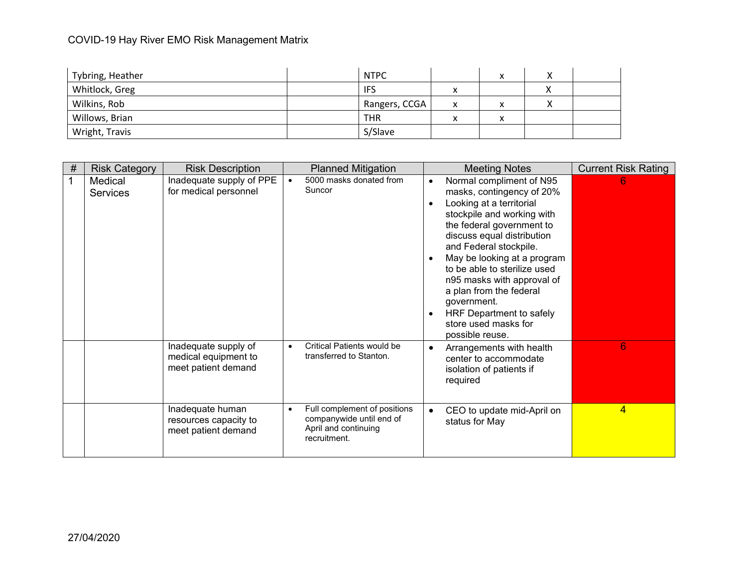## COVID-19 Hay River EMO Risk Management Matrix

| Tybring, Heather | <b>NTPC</b>   |        | x |  |
|------------------|---------------|--------|---|--|
| Whitlock, Greg   | <b>IFS</b>    | Λ      |   |  |
| Wilkins, Rob     | Rangers, CCGA | x      | х |  |
| Willows, Brian   | <b>THR</b>    | v<br>Λ | х |  |
| Wright, Travis   | S/Slave       |        |   |  |

| # | <b>Risk Category</b>       | <b>Risk Description</b>                                             | <b>Planned Mitigation</b>                                                                                     | <b>Meeting Notes</b>                                                                                                                                                                                                                                                                                                                                                                                               | <b>Current Risk Rating</b> |
|---|----------------------------|---------------------------------------------------------------------|---------------------------------------------------------------------------------------------------------------|--------------------------------------------------------------------------------------------------------------------------------------------------------------------------------------------------------------------------------------------------------------------------------------------------------------------------------------------------------------------------------------------------------------------|----------------------------|
|   | Medical<br><b>Services</b> | Inadequate supply of PPE<br>for medical personnel                   | 5000 masks donated from<br>$\bullet$<br>Suncor                                                                | Normal compliment of N95<br>masks, contingency of 20%<br>Looking at a territorial<br>stockpile and working with<br>the federal government to<br>discuss equal distribution<br>and Federal stockpile.<br>May be looking at a program<br>to be able to sterilize used<br>n95 masks with approval of<br>a plan from the federal<br>government.<br>HRF Department to safely<br>store used masks for<br>possible reuse. | 6                          |
|   |                            | Inadequate supply of<br>medical equipment to<br>meet patient demand | Critical Patients would be<br>$\bullet$<br>transferred to Stanton.                                            | Arrangements with health<br>center to accommodate<br>isolation of patients if<br>required                                                                                                                                                                                                                                                                                                                          | 6                          |
|   |                            | Inadequate human<br>resources capacity to<br>meet patient demand    | Full complement of positions<br>$\bullet$<br>companywide until end of<br>April and continuing<br>recruitment. | CEO to update mid-April on<br>status for May                                                                                                                                                                                                                                                                                                                                                                       | 4                          |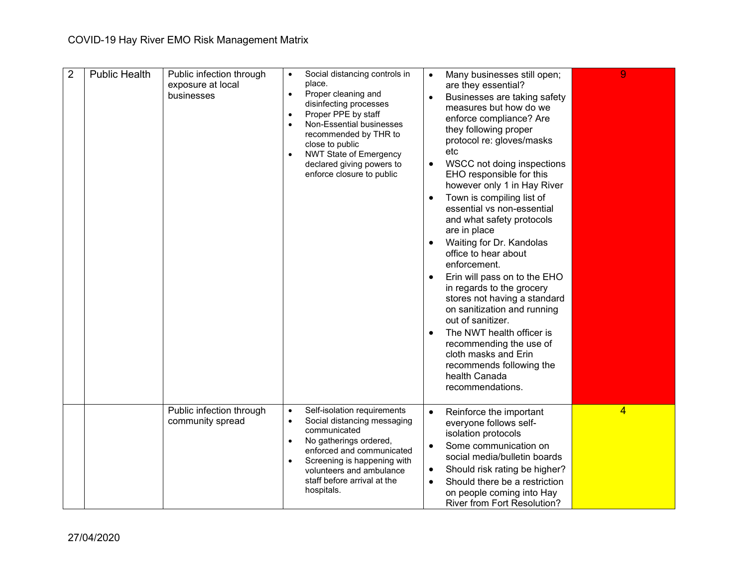| $\overline{2}$ | <b>Public Health</b> | Public infection through<br>exposure at local<br>businesses | $\bullet$<br>$\bullet$<br>$\bullet$<br>$\bullet$<br>$\bullet$ | Social distancing controls in<br>place.<br>Proper cleaning and<br>disinfecting processes<br>Proper PPE by staff<br>Non-Essential businesses<br>recommended by THR to<br>close to public<br><b>NWT State of Emergency</b><br>declared giving powers to<br>enforce closure to public | $\bullet$<br>$\bullet$<br>$\bullet$ | Many businesses still open;<br>are they essential?<br>Businesses are taking safety<br>measures but how do we<br>enforce compliance? Are<br>they following proper<br>protocol re: gloves/masks<br>etc<br>WSCC not doing inspections<br>EHO responsible for this<br>however only 1 in Hay River<br>Town is compiling list of<br>essential vs non-essential<br>and what safety protocols<br>are in place<br>Waiting for Dr. Kandolas<br>office to hear about<br>enforcement.<br>Erin will pass on to the EHO<br>in regards to the grocery<br>stores not having a standard<br>on sanitization and running<br>out of sanitizer.<br>The NWT health officer is<br>recommending the use of<br>cloth masks and Erin<br>recommends following the<br>health Canada<br>recommendations. | 9              |
|----------------|----------------------|-------------------------------------------------------------|---------------------------------------------------------------|------------------------------------------------------------------------------------------------------------------------------------------------------------------------------------------------------------------------------------------------------------------------------------|-------------------------------------|-----------------------------------------------------------------------------------------------------------------------------------------------------------------------------------------------------------------------------------------------------------------------------------------------------------------------------------------------------------------------------------------------------------------------------------------------------------------------------------------------------------------------------------------------------------------------------------------------------------------------------------------------------------------------------------------------------------------------------------------------------------------------------|----------------|
|                |                      | Public infection through<br>community spread                | $\bullet$<br>٠<br>$\bullet$<br>$\bullet$                      | Self-isolation requirements<br>Social distancing messaging<br>communicated<br>No gatherings ordered,<br>enforced and communicated<br>Screening is happening with<br>volunteers and ambulance<br>staff before arrival at the<br>hospitals.                                          | $\bullet$<br>٠                      | Reinforce the important<br>everyone follows self-<br>isolation protocols<br>Some communication on<br>social media/bulletin boards<br>Should risk rating be higher?<br>Should there be a restriction<br>on people coming into Hay<br><b>River from Fort Resolution?</b>                                                                                                                                                                                                                                                                                                                                                                                                                                                                                                      | $\overline{4}$ |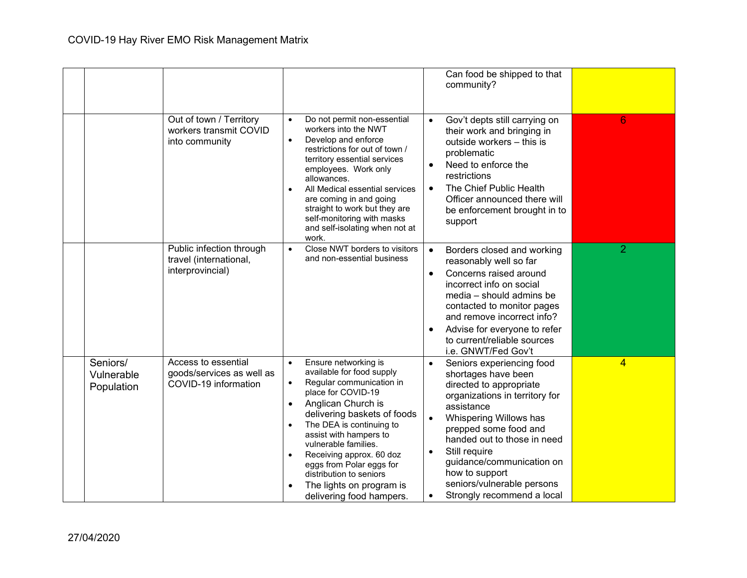|                                      |                                                                          |                                                                                                                                                                                                                                                                                                                                                                                                                                                    | Can food be shipped to that<br>community?                                                                                                                                                                                                                                                                                                                                                     |   |
|--------------------------------------|--------------------------------------------------------------------------|----------------------------------------------------------------------------------------------------------------------------------------------------------------------------------------------------------------------------------------------------------------------------------------------------------------------------------------------------------------------------------------------------------------------------------------------------|-----------------------------------------------------------------------------------------------------------------------------------------------------------------------------------------------------------------------------------------------------------------------------------------------------------------------------------------------------------------------------------------------|---|
|                                      | Out of town / Territory<br>workers transmit COVID<br>into community      | Do not permit non-essential<br>$\bullet$<br>workers into the NWT<br>Develop and enforce<br>$\bullet$<br>restrictions for out of town /<br>territory essential services<br>employees. Work only<br>allowances.<br>All Medical essential services<br>$\bullet$<br>are coming in and going<br>straight to work but they are<br>self-monitoring with masks<br>and self-isolating when not at<br>work.                                                  | Gov't depts still carrying on<br>$\bullet$<br>their work and bringing in<br>outside workers - this is<br>problematic<br>Need to enforce the<br>restrictions<br>The Chief Public Health<br>$\bullet$<br>Officer announced there will<br>be enforcement brought in to<br>support                                                                                                                | 6 |
|                                      | Public infection through<br>travel (international,<br>interprovincial)   | Close NWT borders to visitors<br>$\bullet$<br>and non-essential business                                                                                                                                                                                                                                                                                                                                                                           | $\bullet$<br>Borders closed and working<br>reasonably well so far<br>Concerns raised around<br>$\bullet$<br>incorrect info on social<br>media - should admins be<br>contacted to monitor pages<br>and remove incorrect info?<br>Advise for everyone to refer<br>to current/reliable sources<br>i.e. GNWT/Fed Gov't                                                                            | 2 |
| Seniors/<br>Vulnerable<br>Population | Access to essential<br>goods/services as well as<br>COVID-19 information | Ensure networking is<br>$\bullet$<br>available for food supply<br>Regular communication in<br>$\bullet$<br>place for COVID-19<br>Anglican Church is<br>$\bullet$<br>delivering baskets of foods<br>The DEA is continuing to<br>$\bullet$<br>assist with hampers to<br>vulnerable families.<br>Receiving approx. 60 doz<br>$\bullet$<br>eggs from Polar eggs for<br>distribution to seniors<br>The lights on program is<br>delivering food hampers. | Seniors experiencing food<br>$\bullet$<br>shortages have been<br>directed to appropriate<br>organizations in territory for<br>assistance<br>Whispering Willows has<br>$\bullet$<br>prepped some food and<br>handed out to those in need<br>Still require<br>$\bullet$<br>guidance/communication on<br>how to support<br>seniors/vulnerable persons<br>Strongly recommend a local<br>$\bullet$ | 4 |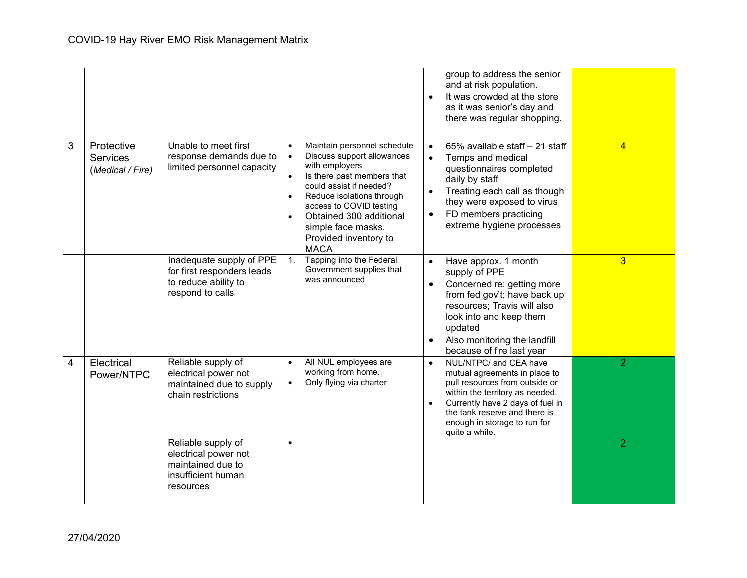|   |                                                   |                                                                                                    |                                                                                                                                                                                                                                                                                                                              | group to address the senior<br>and at risk population.<br>It was crowded at the store<br>as it was senior's day and<br>there was regular shopping.                                                                                                               |                |
|---|---------------------------------------------------|----------------------------------------------------------------------------------------------------|------------------------------------------------------------------------------------------------------------------------------------------------------------------------------------------------------------------------------------------------------------------------------------------------------------------------------|------------------------------------------------------------------------------------------------------------------------------------------------------------------------------------------------------------------------------------------------------------------|----------------|
| 3 | Protective<br><b>Services</b><br>(Medical / Fire) | Unable to meet first<br>response demands due to<br>limited personnel capacity                      | Maintain personnel schedule<br>Discuss support allowances<br>with employers<br>Is there past members that<br>$\bullet$<br>could assist if needed?<br>Reduce isolations through<br>$\bullet$<br>access to COVID testing<br>Obtained 300 additional<br>$\bullet$<br>simple face masks.<br>Provided inventory to<br><b>MACA</b> | 65% available staff - 21 staff<br>$\bullet$<br>Temps and medical<br>$\bullet$<br>questionnaires completed<br>daily by staff<br>Treating each call as though<br>they were exposed to virus<br>FD members practicing<br>extreme hygiene processes                  | $\overline{4}$ |
|   |                                                   | Inadequate supply of PPE<br>for first responders leads<br>to reduce ability to<br>respond to calls | Tapping into the Federal<br>1.<br>Government supplies that<br>was announced                                                                                                                                                                                                                                                  | Have approx. 1 month<br>supply of PPE<br>Concerned re: getting more<br>from fed gov't; have back up<br>resources; Travis will also<br>look into and keep them<br>updated<br>Also monitoring the landfill<br>because of fire last year                            | $\overline{3}$ |
| 4 | Electrical<br>Power/NTPC                          | Reliable supply of<br>electrical power not<br>maintained due to supply<br>chain restrictions       | All NUL employees are<br>$\bullet$<br>working from home.<br>Only flying via charter<br>$\bullet$                                                                                                                                                                                                                             | NUL/NTPC/ and CEA have<br>$\bullet$<br>mutual agreements in place to<br>pull resources from outside or<br>within the territory as needed.<br>Currently have 2 days of fuel in<br>the tank reserve and there is<br>enough in storage to run for<br>quite a while. | $\overline{2}$ |
|   |                                                   | Reliable supply of<br>electrical power not<br>maintained due to<br>insufficient human<br>resources | $\bullet$                                                                                                                                                                                                                                                                                                                    |                                                                                                                                                                                                                                                                  | $\overline{2}$ |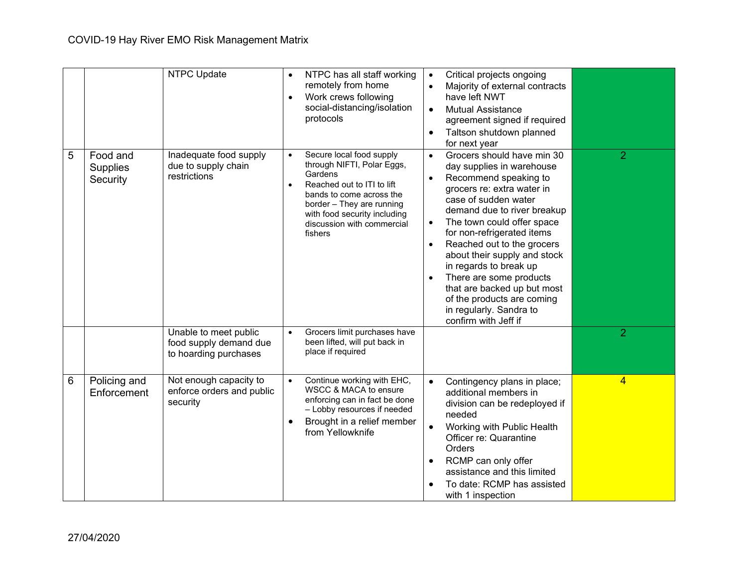|                 |                                         | <b>NTPC Update</b>                                                                     | $\bullet$<br>$\bullet$              | NTPC has all staff working<br>remotely from home<br>Work crews following<br>social-distancing/isolation<br>protocols                                                                                                                                              | $\bullet$<br>$\bullet$<br>$\bullet$ | Critical projects ongoing<br>Majority of external contracts<br>have left NWT<br><b>Mutual Assistance</b><br>agreement signed if required<br>Taltson shutdown planned<br>for next year                                                                                                                                                                                                                                                                                |                                  |
|-----------------|-----------------------------------------|----------------------------------------------------------------------------------------|-------------------------------------|-------------------------------------------------------------------------------------------------------------------------------------------------------------------------------------------------------------------------------------------------------------------|-------------------------------------|----------------------------------------------------------------------------------------------------------------------------------------------------------------------------------------------------------------------------------------------------------------------------------------------------------------------------------------------------------------------------------------------------------------------------------------------------------------------|----------------------------------|
| 5               | Food and<br><b>Supplies</b><br>Security | Inadequate food supply<br>due to supply chain<br>restrictions<br>Unable to meet public | $\bullet$<br>$\bullet$<br>$\bullet$ | Secure local food supply<br>through NIFTI, Polar Eggs,<br>Gardens<br>Reached out to ITI to lift<br>bands to come across the<br>border - They are running<br>with food security including<br>discussion with commercial<br>fishers<br>Grocers limit purchases have | $\bullet$<br>$\bullet$<br>$\bullet$ | Grocers should have min 30<br>day supplies in warehouse<br>Recommend speaking to<br>grocers re: extra water in<br>case of sudden water<br>demand due to river breakup<br>The town could offer space<br>for non-refrigerated items<br>Reached out to the grocers<br>about their supply and stock<br>in regards to break up<br>There are some products<br>that are backed up but most<br>of the products are coming<br>in regularly. Sandra to<br>confirm with Jeff if | $\overline{2}$<br>$\overline{2}$ |
|                 |                                         | food supply demand due<br>to hoarding purchases                                        |                                     | been lifted, will put back in<br>place if required                                                                                                                                                                                                                |                                     |                                                                                                                                                                                                                                                                                                                                                                                                                                                                      |                                  |
| $6\phantom{1}6$ | Policing and<br>Enforcement             | Not enough capacity to<br>enforce orders and public<br>security                        | $\bullet$                           | Continue working with EHC,<br>WSCC & MACA to ensure<br>enforcing can in fact be done<br>- Lobby resources if needed<br>Brought in a relief member<br>from Yellowknife                                                                                             | $\bullet$                           | Contingency plans in place;<br>additional members in<br>division can be redeployed if<br>needed<br>Working with Public Health<br>Officer re: Quarantine<br>Orders<br>RCMP can only offer<br>assistance and this limited<br>To date: RCMP has assisted<br>with 1 inspection                                                                                                                                                                                           | $\overline{4}$                   |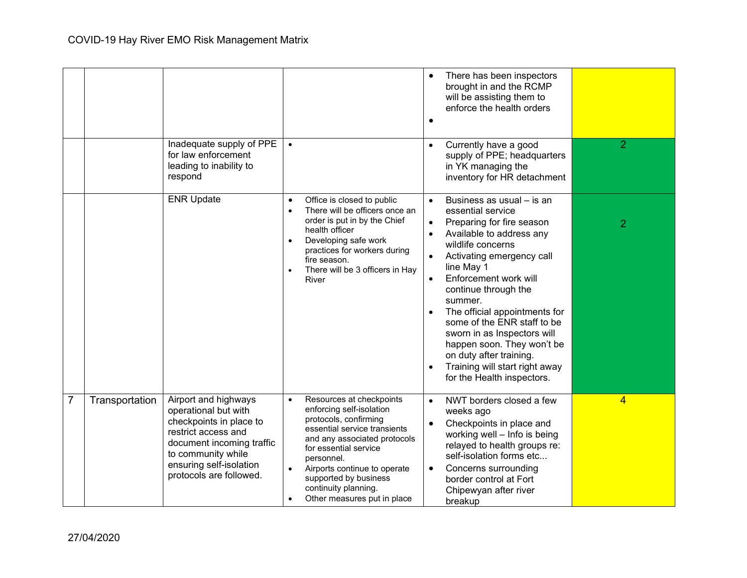|                |                |                                                                                                                                                                                                         |                                                                                                                                                                                                                                                                                                                                             | There has been inspectors<br>brought in and the RCMP<br>will be assisting them to<br>enforce the health orders<br>$\bullet$                                                                                                                                                                                                                                                                                                                                                                        |                |
|----------------|----------------|---------------------------------------------------------------------------------------------------------------------------------------------------------------------------------------------------------|---------------------------------------------------------------------------------------------------------------------------------------------------------------------------------------------------------------------------------------------------------------------------------------------------------------------------------------------|----------------------------------------------------------------------------------------------------------------------------------------------------------------------------------------------------------------------------------------------------------------------------------------------------------------------------------------------------------------------------------------------------------------------------------------------------------------------------------------------------|----------------|
|                |                | Inadequate supply of PPE<br>for law enforcement<br>leading to inability to<br>respond                                                                                                                   |                                                                                                                                                                                                                                                                                                                                             | Currently have a good<br>supply of PPE; headquarters<br>in YK managing the<br>inventory for HR detachment                                                                                                                                                                                                                                                                                                                                                                                          | $\overline{2}$ |
|                |                | <b>ENR Update</b>                                                                                                                                                                                       | Office is closed to public<br>$\bullet$<br>There will be officers once an<br>$\bullet$<br>order is put in by the Chief<br>health officer<br>Developing safe work<br>$\bullet$<br>practices for workers during<br>fire season.<br>There will be 3 officers in Hay<br>$\bullet$<br>River                                                      | Business as usual - is an<br>$\bullet$<br>essential service<br>Preparing for fire season<br>$\bullet$<br>Available to address any<br>wildlife concerns<br>Activating emergency call<br>line May 1<br>Enforcement work will<br>$\bullet$<br>continue through the<br>summer.<br>The official appointments for<br>some of the ENR staff to be<br>sworn in as Inspectors will<br>happen soon. They won't be<br>on duty after training.<br>Training will start right away<br>for the Health inspectors. | $\overline{2}$ |
| $\overline{7}$ | Transportation | Airport and highways<br>operational but with<br>checkpoints in place to<br>restrict access and<br>document incoming traffic<br>to community while<br>ensuring self-isolation<br>protocols are followed. | Resources at checkpoints<br>$\bullet$<br>enforcing self-isolation<br>protocols, confirming<br>essential service transients<br>and any associated protocols<br>for essential service<br>personnel.<br>Airports continue to operate<br>$\bullet$<br>supported by business<br>continuity planning.<br>Other measures put in place<br>$\bullet$ | NWT borders closed a few<br>$\bullet$<br>weeks ago<br>Checkpoints in place and<br>$\bullet$<br>working well - Info is being<br>relayed to health groups re:<br>self-isolation forms etc<br>Concerns surrounding<br>$\bullet$<br>border control at Fort<br>Chipewyan after river<br>breakup                                                                                                                                                                                                         | $\overline{4}$ |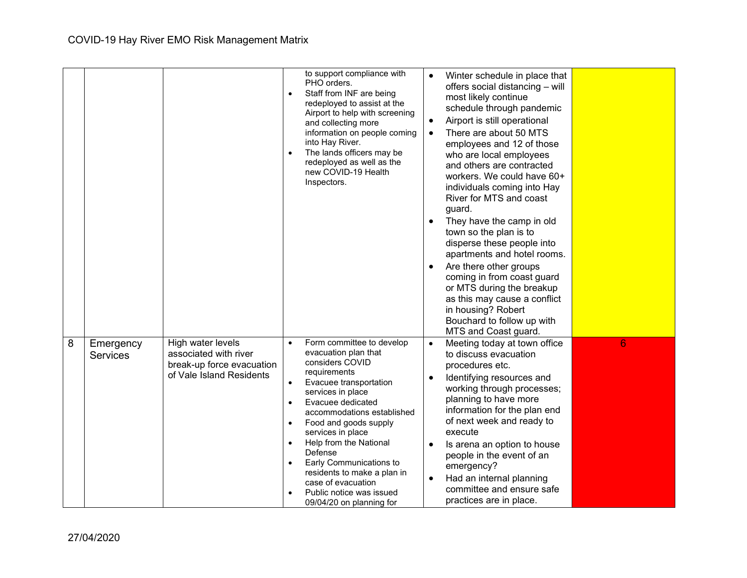|   |                              |                                                                                                     | $\bullet$<br>$\bullet$                                                                  | to support compliance with<br>PHO orders.<br>Staff from INF are being<br>redeployed to assist at the<br>Airport to help with screening<br>and collecting more<br>information on people coming<br>into Hay River.<br>The lands officers may be<br>redeployed as well as the<br>new COVID-19 Health<br>Inspectors.                                                                                                  | $\bullet$ | Winter schedule in place that<br>offers social distancing - will<br>most likely continue<br>schedule through pandemic<br>Airport is still operational<br>There are about 50 MTS<br>employees and 12 of those<br>who are local employees<br>and others are contracted<br>workers. We could have 60+<br>individuals coming into Hay<br>River for MTS and coast<br>guard.<br>They have the camp in old<br>town so the plan is to<br>disperse these people into<br>apartments and hotel rooms.<br>Are there other groups<br>coming in from coast guard<br>or MTS during the breakup<br>as this may cause a conflict<br>in housing? Robert<br>Bouchard to follow up with<br>MTS and Coast guard. |   |
|---|------------------------------|-----------------------------------------------------------------------------------------------------|-----------------------------------------------------------------------------------------|-------------------------------------------------------------------------------------------------------------------------------------------------------------------------------------------------------------------------------------------------------------------------------------------------------------------------------------------------------------------------------------------------------------------|-----------|---------------------------------------------------------------------------------------------------------------------------------------------------------------------------------------------------------------------------------------------------------------------------------------------------------------------------------------------------------------------------------------------------------------------------------------------------------------------------------------------------------------------------------------------------------------------------------------------------------------------------------------------------------------------------------------------|---|
| 8 | Emergency<br><b>Services</b> | High water levels<br>associated with river<br>break-up force evacuation<br>of Vale Island Residents | $\bullet$<br>$\bullet$<br>$\bullet$<br>$\bullet$<br>$\bullet$<br>$\bullet$<br>$\bullet$ | Form committee to develop<br>evacuation plan that<br>considers COVID<br>requirements<br>Evacuee transportation<br>services in place<br>Evacuee dedicated<br>accommodations established<br>Food and goods supply<br>services in place<br>Help from the National<br>Defense<br>Early Communications to<br>residents to make a plan in<br>case of evacuation<br>Public notice was issued<br>09/04/20 on planning for | $\bullet$ | Meeting today at town office<br>to discuss evacuation<br>procedures etc.<br>Identifying resources and<br>working through processes;<br>planning to have more<br>information for the plan end<br>of next week and ready to<br>execute<br>Is arena an option to house<br>people in the event of an<br>emergency?<br>Had an internal planning<br>committee and ensure safe<br>practices are in place.                                                                                                                                                                                                                                                                                          | 6 |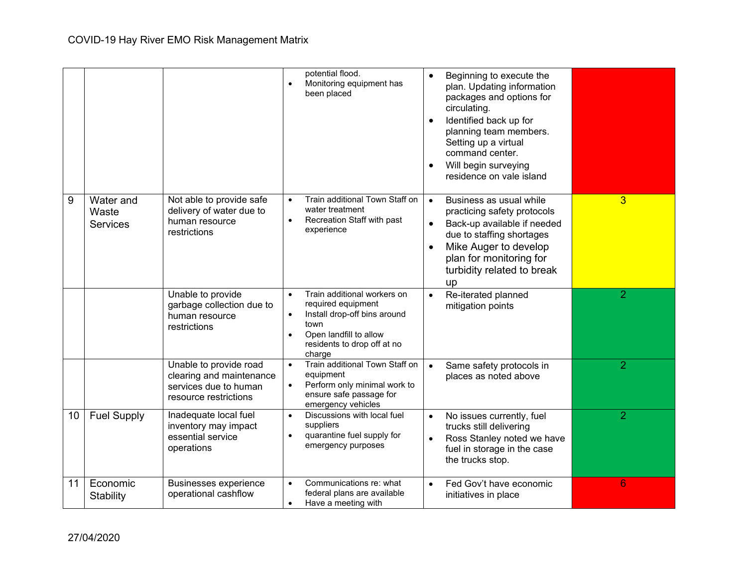|    |                                       |                                                                                                      | potential flood.<br>Beginning to execute the<br>$\bullet$<br>Monitoring equipment has<br>plan. Updating information<br>been placed<br>packages and options for<br>circulating.<br>Identified back up for<br>planning team members.<br>Setting up a virtual<br>command center.<br>Will begin surveying<br>residence on vale island                               |                |
|----|---------------------------------------|------------------------------------------------------------------------------------------------------|-----------------------------------------------------------------------------------------------------------------------------------------------------------------------------------------------------------------------------------------------------------------------------------------------------------------------------------------------------------------|----------------|
| 9  | Water and<br>Waste<br><b>Services</b> | Not able to provide safe<br>delivery of water due to<br>human resource<br>restrictions               | Train additional Town Staff on<br>Business as usual while<br>$\bullet$<br>$\bullet$<br>water treatment<br>practicing safety protocols<br>Recreation Staff with past<br>$\bullet$<br>Back-up available if needed<br>$\bullet$<br>experience<br>due to staffing shortages<br>Mike Auger to develop<br>plan for monitoring for<br>turbidity related to break<br>up | 3              |
|    |                                       | Unable to provide<br>garbage collection due to<br>human resource<br>restrictions                     | Train additional workers on<br>Re-iterated planned<br>$\bullet$<br>$\bullet$<br>required equipment<br>mitigation points<br>Install drop-off bins around<br>$\bullet$<br>town<br>Open landfill to allow<br>$\bullet$<br>residents to drop off at no<br>charge                                                                                                    | $\overline{2}$ |
|    |                                       | Unable to provide road<br>clearing and maintenance<br>services due to human<br>resource restrictions | Train additional Town Staff on<br>Same safety protocols in<br>$\bullet$<br>$\bullet$<br>equipment<br>places as noted above<br>Perform only minimal work to<br>$\bullet$<br>ensure safe passage for<br>emergency vehicles                                                                                                                                        | $\overline{2}$ |
| 10 | <b>Fuel Supply</b>                    | Inadequate local fuel<br>inventory may impact<br>essential service<br>operations                     | Discussions with local fuel<br>No issues currently, fuel<br>$\bullet$<br>$\bullet$<br>suppliers<br>trucks still delivering<br>quarantine fuel supply for<br>$\bullet$<br>Ross Stanley noted we have<br>emergency purposes<br>fuel in storage in the case<br>the trucks stop.                                                                                    | $\overline{2}$ |
| 11 | Economic<br>Stability                 | <b>Businesses experience</b><br>operational cashflow                                                 | Communications re: what<br>Fed Gov't have economic<br>$\bullet$<br>$\bullet$<br>federal plans are available<br>initiatives in place<br>Have a meeting with<br>$\bullet$                                                                                                                                                                                         | 6              |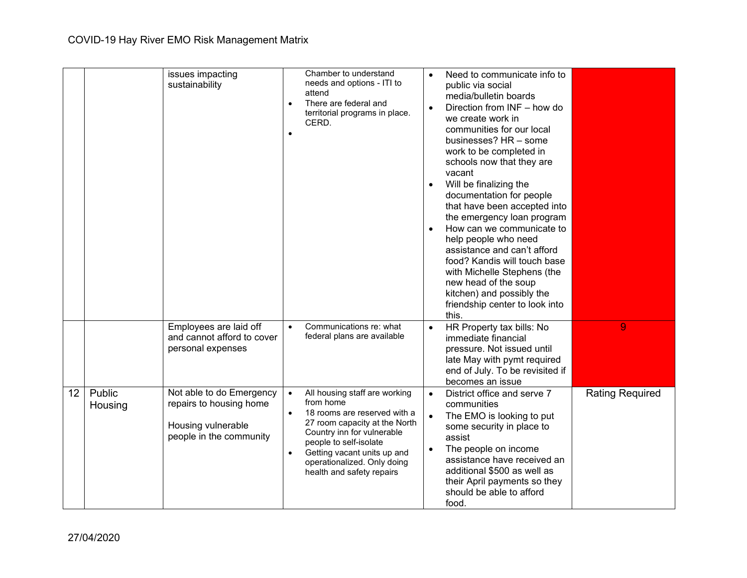|    |                   | issues impacting<br>sustainability                                                                   | $\bullet$<br>$\bullet$              | Chamber to understand<br>needs and options - ITI to<br>attend<br>There are federal and<br>territorial programs in place.<br>CERD.                                                                                                                              |           | Need to communicate info to<br>public via social<br>media/bulletin boards<br>Direction from INF - how do<br>we create work in<br>communities for our local<br>businesses? HR - some<br>work to be completed in<br>schools now that they are<br>vacant<br>Will be finalizing the<br>documentation for people<br>that have been accepted into<br>the emergency loan program<br>How can we communicate to<br>help people who need<br>assistance and can't afford<br>food? Kandis will touch base<br>with Michelle Stephens (the<br>new head of the soup<br>kitchen) and possibly the<br>friendship center to look into<br>this. |                        |
|----|-------------------|------------------------------------------------------------------------------------------------------|-------------------------------------|----------------------------------------------------------------------------------------------------------------------------------------------------------------------------------------------------------------------------------------------------------------|-----------|------------------------------------------------------------------------------------------------------------------------------------------------------------------------------------------------------------------------------------------------------------------------------------------------------------------------------------------------------------------------------------------------------------------------------------------------------------------------------------------------------------------------------------------------------------------------------------------------------------------------------|------------------------|
|    |                   | Employees are laid off<br>and cannot afford to cover<br>personal expenses                            | $\bullet$                           | Communications re: what<br>federal plans are available                                                                                                                                                                                                         |           | HR Property tax bills: No<br>immediate financial<br>pressure. Not issued until<br>late May with pymt required<br>end of July. To be revisited if<br>becomes an issue                                                                                                                                                                                                                                                                                                                                                                                                                                                         | 9                      |
| 12 | Public<br>Housing | Not able to do Emergency<br>repairs to housing home<br>Housing vulnerable<br>people in the community | $\bullet$<br>$\bullet$<br>$\bullet$ | All housing staff are working<br>from home<br>18 rooms are reserved with a<br>27 room capacity at the North<br>Country inn for vulnerable<br>people to self-isolate<br>Getting vacant units up and<br>operationalized. Only doing<br>health and safety repairs | $\bullet$ | District office and serve 7<br>communities<br>The EMO is looking to put<br>some security in place to<br>assist<br>The people on income<br>assistance have received an<br>additional \$500 as well as<br>their April payments so they<br>should be able to afford<br>food.                                                                                                                                                                                                                                                                                                                                                    | <b>Rating Required</b> |